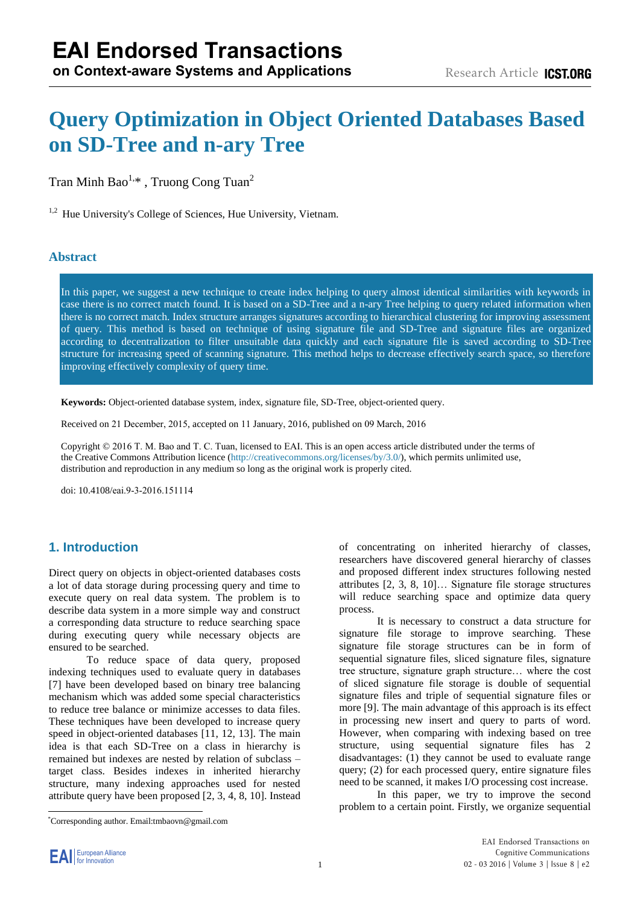# **Query Optimization in Object Oriented Databases Based on SD-Tree and n-ary Tree**

# Tran Minh Bao<sup>1,\*</sup>, Truong Cong Tuan

<sup>1</sup> Hue University's College of Sciences, Hue University, Vietnam.

## **Abstract**

In this paper, we suggest a new technique to create index helping to query almost identical similarities with keywords in case there is no correct match found. It is based on a SD-Tree and a n-ary Tree helping to query related information when there is no correct match. Index structure arranges signatures according to hierarchical clustering for improving assessment of query. This method is based on technique of using signature file and SD-Tree and signature files are organized according to decentralization to filter unsuitable data quickly and each signature file is saved according to SD-Tree structure for increasing speed of scanning signature. This method helps to decrease effectively search space, so therefore improving effectively complexity of query time.

**Keywords:** Object-oriented database system, index, signature file, SD-Tree, object-oriented query.

Received on 21 December, 2015, accepted on 11 January, 2016, published on 09 March, 2016

Copyright © 2016 T. M. Bao and T. C. Tuan, licensed to EAI. This is an open access article distributed under the terms of the Creative Commons Attrib[ution licence \(http://creativecommons.org/lice](http://creativecommons.org/licenses/by/3.0/)nses/by/3.0/), which permits unlimited use, distribution and reproduction in any medium so long as the original work is properly cited.

doi: 10.4108/eai.9-3-2016.151114

# **1. Introduction**

Direct query on objects in object-oriented databases costs a lot of data storage during processing query and time to execute query on real data system. The problem is to describe data system in a more simple way and construct a corresponding data structure to reduce searching space during executing query while necessary objects are ensured to be searched.

To reduce space of data query, proposed indexing techniques used to evaluate query in databases [7] have been developed based on binary tree balancing mechanism which was added some special characteristics to reduce tree balance or minimize accesses to data files. These techniques have been developed to increase query speed in object-oriented databases [11, 12, 13]. The main idea is that each SD-Tree on a class in hierarchy is remained but indexes are nested by relation of subclass – target class. Besides indexes in inherited hierarchy structure, many indexing approaches used for nested attribute query have been proposed [2, 3, 4, 8, 10]. Instead

\*Corresponding author. Email:tmbaovn@gmail.com

of concentrating on inherited hierarchy of classes, researchers have discovered general hierarchy of classes and proposed different index structures following nested attributes [2, 3, 8, 10]… Signature file storage structures will reduce searching space and optimize data query process.

It is necessary to construct a data structure for signature file storage to improve searching. These signature file storage structures can be in form of sequential signature files, sliced signature files, signature tree structure, signature graph structure… where the cost of sliced signature file storage is double of sequential signature files and triple of sequential signature files or more [9]. The main advantage of this approach is its effect in processing new insert and query to parts of word. However, when comparing with indexing based on tree structure, using sequential signature files has 2 disadvantages: (1) they cannot be used to evaluate range query; (2) for each processed query, entire signature files need to be scanned, it makes I/O processing cost increase.

In this paper, we try to improve the second problem to a certain point. Firstly, we organize sequential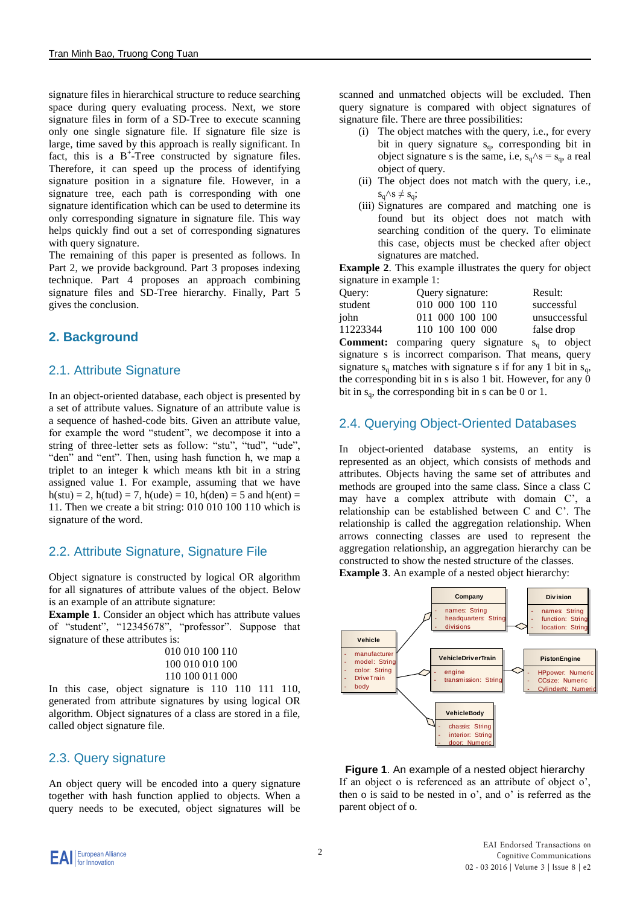signature files in hierarchical structure to reduce searching space during query evaluating process. Next, we store signature files in form of a SD-Tree to execute scanning only one single signature file. If signature file size is large, time saved by this approach is really significant. In fact, this is a  $B^+$ -Tree constructed by signature files. Therefore, it can speed up the process of identifying signature position in a signature file. However, in a signature tree, each path is corresponding with one signature identification which can be used to determine its only corresponding signature in signature file. This way helps quickly find out a set of corresponding signatures with query signature.

The remaining of this paper is presented as follows. In Part 2, we provide background. Part 3 proposes indexing technique. Part 4 proposes an approach combining signature files and SD-Tree hierarchy. Finally, Part 5 gives the conclusion.

# **2. Background**

# 2.1. Attribute Signature

In an object-oriented database, each object is presented by a set of attribute values. Signature of an attribute value is a sequence of hashed-code bits. Given an attribute value, for example the word "student", we decompose it into a string of three-letter sets as follow: "stu", "tud", "ude", "den" and "ent". Then, using hash function h, we map a triplet to an integer k which means kth bit in a string assigned value 1. For example, assuming that we have  $h(stu) = 2$ ,  $h(tud) = 7$ ,  $h(ude) = 10$ ,  $h(den) = 5$  and  $h(ent) = 10$ 11. Then we create a bit string: 010 010 100 110 which is signature of the word.

# 2.2. Attribute Signature, Signature File

Object signature is constructed by logical OR algorithm for all signatures of attribute values of the object. Below is an example of an attribute signature:

**Example 1**. Consider an object which has attribute values of "student", "12345678", "professor". Suppose that signature of these attributes is:

010 010 100 110 100 010 010 100 110 100 011 000

In this case, object signature is 110 110 111 110, generated from attribute signatures by using logical OR algorithm. Object signatures of a class are stored in a file, called object signature file.

# 2.3. Query signature

An object query will be encoded into a query signature together with hash function applied to objects. When a query needs to be executed, object signatures will be

scanned and unmatched objects will be excluded. Then query signature is compared with object signatures of signature file. There are three possibilities:

- (i) The object matches with the query, i.e., for every bit in query signature  $s_q$ , corresponding bit in object signature s is the same, i.e,  $s_q \wedge s = s_q$ , a real object of query.
- (ii) The object does not match with the query, i.e.,  $s_q \wedge s \neq s_q$ ;
- (iii) Signatures are compared and matching one is found but its object does not match with searching condition of the query. To eliminate this case, objects must be checked after object signatures are matched.

**Example 2**. This example illustrates the query for object signature in example 1:

| Query:   | Query signature: | Result:      |
|----------|------------------|--------------|
| student  | 010 000 100 110  | successful   |
| john     | 011 000 100 100  | unsuccessful |
| 11223344 | 110 100 100 000  | false drop   |

**Comment:** comparing query signature  $s_q$  to object signature s is incorrect comparison. That means, query signature  $s_q$  matches with signature s if for any 1 bit in  $s_q$ , the corresponding bit in s is also 1 bit. However, for any 0 bit in  $s_{\alpha}$ , the corresponding bit in s can be 0 or 1.

# 2.4. Querying Object-Oriented Databases

In object-oriented database systems, an entity is represented as an object, which consists of methods and attributes. Objects having the same set of attributes and methods are grouped into the same class. Since a class C may have a complex attribute with domain C', a relationship can be established between C and C'. The relationship is called the aggregation relationship. When arrows connecting classes are used to represent the aggregation relationship, an aggregation hierarchy can be constructed to show the nested structure of the classes. **Example 3.** An example of a nested object hierarchy:

**Vehicle** manufacture model: Strin color: String - DriveTrain - body **Company** names: String headquarters: Str - divisions **Div ision** names: String function: Strin Incation: String **VehicleDriv erTrain** engine transmission: String **VehicleBody** chassis: String interior: String - door: Numeric **PistonEngine** HPpower: Numeri CCsize: Numeric vlinderN:

**Figure 1**. An example of a nested object hierarchy If an object o is referenced as an attribute of object o', then o is said to be nested in o', and o' is referred as the parent object of o.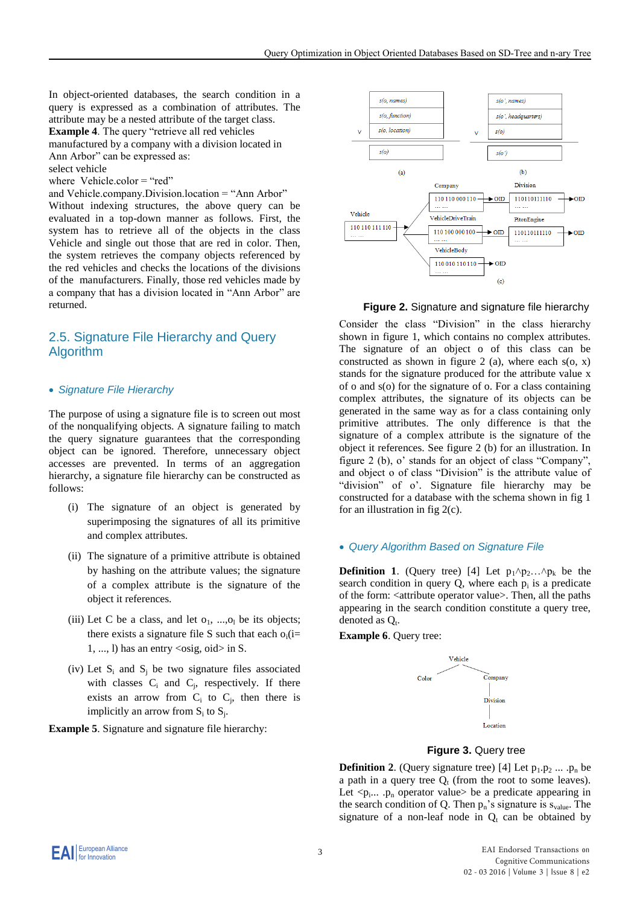In object-oriented databases, the search condition in a query is expressed as a combination of attributes. The attribute may be a nested attribute of the target class.

**Example 4**. The query "retrieve all red vehicles

manufactured by a company with a division located in Ann Arbor" can be expressed as:

select vehicle

where Vehicle.color = "red"

and Vehicle.company.Division.location = "Ann Arbor"

Without indexing structures, the above query can be evaluated in a top-down manner as follows. First, the system has to retrieve all of the objects in the class Vehicle and single out those that are red in color. Then, the system retrieves the company objects referenced by the red vehicles and checks the locations of the divisions of the manufacturers. Finally, those red vehicles made by a company that has a division located in "Ann Arbor" are returned.

## 2.5. Signature File Hierarchy and Query Algorithm

#### *Signature File Hierarchy*

The purpose of using a signature file is to screen out most of the nonqualifying objects. A signature failing to match the query signature guarantees that the corresponding object can be ignored. Therefore, unnecessary object accesses are prevented. In terms of an aggregation hierarchy, a signature file hierarchy can be constructed as follows:

- (i) The signature of an object is generated by superimposing the signatures of all its primitive and complex attributes.
- (ii) The signature of a primitive attribute is obtained by hashing on the attribute values; the signature of a complex attribute is the signature of the object it references.
- (iii) Let C be a class, and let  $o_1$ , ..., $o_l$  be its objects; there exists a signature file S such that each  $o_i(i=$ 1, ..., 1) has an entry  $\langle \text{osig}, \text{oid} \rangle$  in S.
- (iv) Let  $S_i$  and  $S_j$  be two signature files associated with classes  $C_i$  and  $C_j$ , respectively. If there exists an arrow from  $C_i$  to  $C_j$ , then there is implicitly an arrow from  $S_i$  to  $S_j$ .

**Example 5**. Signature and signature file hierarchy:



 **Figure 2.** Signature and signature file hierarchy

Consider the class "Division" in the class hierarchy shown in figure 1, which contains no complex attributes. The signature of an object o of this class can be constructed as shown in figure 2 (a), where each  $s$ (o, x) stands for the signature produced for the attribute value x of o and s(o) for the signature of o. For a class containing complex attributes, the signature of its objects can be generated in the same way as for a class containing only primitive attributes. The only difference is that the signature of a complex attribute is the signature of the object it references. See figure 2 (b) for an illustration. In figure 2 (b), o' stands for an object of class "Company", and object o of class "Division" is the attribute value of "division" of o'. Signature file hierarchy may be constructed for a database with the schema shown in fig 1 for an illustration in fig 2(c).

#### *Query Algorithm Based on Signature File*

**Definition 1.** (Query tree) [4] Let  $p_1 \wedge p_2 \dots \wedge p_k$  be the search condition in query  $Q$ , where each  $p_i$  is a predicate of the form: <attribute operator value>. Then, all the paths appearing in the search condition constitute a query tree, denoted as  $Q_t$ .

**Example 6**. Query tree:



#### **Figure 3.** Query tree

**Definition 2.** (Query signature tree) [4] Let  $p_1 \cdot p_2 \dots p_n$  be a path in a query tree  $Q_t$  (from the root to some leaves). Let  $\langle p_1,...,p_n \rangle$  operator value be a predicate appearing in the search condition of Q. Then  $p_n$ 's signature is  $s_{value}$ . The signature of a non-leaf node in  $Q_t$  can be obtained by

**EAI** European Alliance

3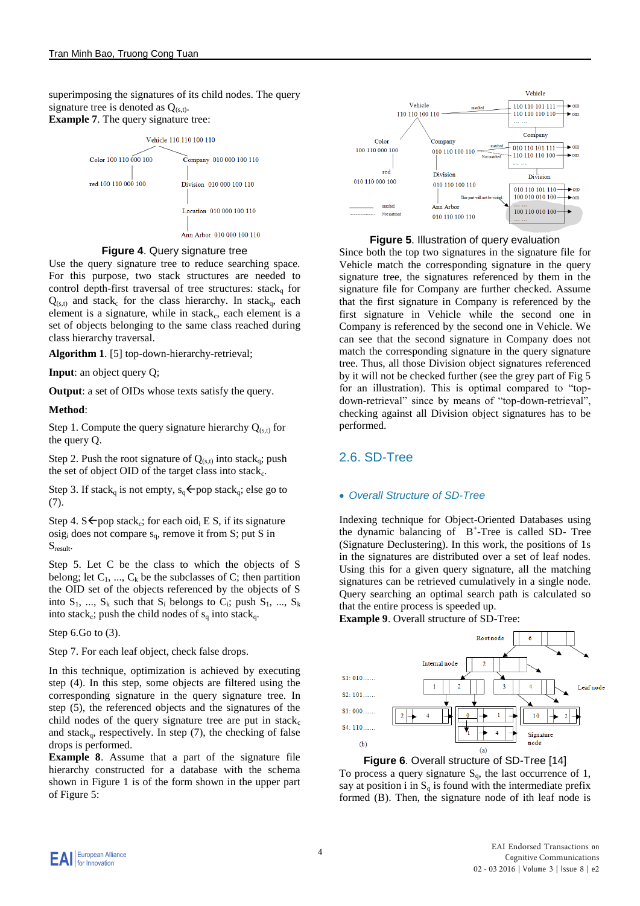superimposing the signatures of its child nodes. The query signature tree is denoted as  $Q_{(s,t)}$ . **Example 7**. The query signature tree:



## **Figure 4**. Query signature tree

Use the query signature tree to reduce searching space. For this purpose, two stack structures are needed to control depth-first traversal of tree structures: stack<sub>a</sub> for  $Q_{(s,t)}$  and stack<sub>c</sub> for the class hierarchy. In stack<sub>q</sub>, each element is a signature, while in stack<sub>c</sub>, each element is a set of objects belonging to the same class reached during class hierarchy traversal.

**Algorithm 1**. [5] top-down-hierarchy-retrieval;

**Input**: an object query Q;

**Output**: a set of OIDs whose texts satisfy the query.

#### **Method**:

Step 1. Compute the query signature hierarchy  $Q_{(s,t)}$  for the query Q.

Step 2. Push the root signature of  $Q_{(s,t)}$  into stack<sub>q</sub>; push the set of object OID of the target class into stack<sub>c</sub>.

Step 3. If stack<sub>q</sub> is not empty,  $s_q \leftarrow pop$  stack<sub>q</sub>; else go to (7).

Step 4. S  $\leftarrow$  pop stack<sub>c</sub>; for each oid<sub>i</sub> E S, if its signature  $\text{osig}_i$  does not compare  $s_q$ , remove it from S; put S in  $S_{result}$ 

Step 5. Let C be the class to which the objects of S belong; let  $C_1$ , ...,  $C_k$  be the subclasses of C; then partition the OID set of the objects referenced by the objects of S into  $S_1$ , ...,  $S_k$  such that  $S_i$  belongs to  $C_i$ ; push  $S_1$ , ...,  $S_k$ into stack<sub>c</sub>; push the child nodes of  $s_q$  into stack<sub>q</sub>.

Step 6.Go to (3).

Step 7. For each leaf object, check false drops.

In this technique, optimization is achieved by executing step (4). In this step, some objects are filtered using the corresponding signature in the query signature tree. In step (5), the referenced objects and the signatures of the child nodes of the query signature tree are put in  $stack_{c}$ and stack<sub>q</sub>, respectively. In step  $(7)$ , the checking of false drops is performed.

**Example 8**. Assume that a part of the signature file hierarchy constructed for a database with the schema shown in Figure 1 is of the form shown in the upper part of Figure 5:



## **Figure 5**. Illustration of query evaluation

Since both the top two signatures in the signature file for Vehicle match the corresponding signature in the query signature tree, the signatures referenced by them in the signature file for Company are further checked. Assume that the first signature in Company is referenced by the first signature in Vehicle while the second one in Company is referenced by the second one in Vehicle. We can see that the second signature in Company does not match the corresponding signature in the query signature tree. Thus, all those Division object signatures referenced by it will not be checked further (see the grey part of Fig 5 for an illustration). This is optimal compared to "topdown-retrieval" since by means of "top-down-retrieval", checking against all Division object signatures has to be performed.

## 2.6. SD-Tree

## *Overall Structure of SD-Tree*

Indexing technique for Object-Oriented Databases using the dynamic balancing of B<sup>+</sup> -Tree is called SD- Tree (Signature Declustering). In this work, the positions of 1s in the signatures are distributed over a set of leaf nodes. Using this for a given query signature, all the matching signatures can be retrieved cumulatively in a single node. Query searching an optimal search path is calculated so that the entire process is speeded up.

**Example 9**. Overall structure of SD-Tree:



**Figure 6**. Overall structure of SD-Tree [14] To process a query signature  $S_q$ , the last occurrence of 1, say at position i in  $S_q$  is found with the intermediate prefix formed (B). Then, the signature node of ith leaf node is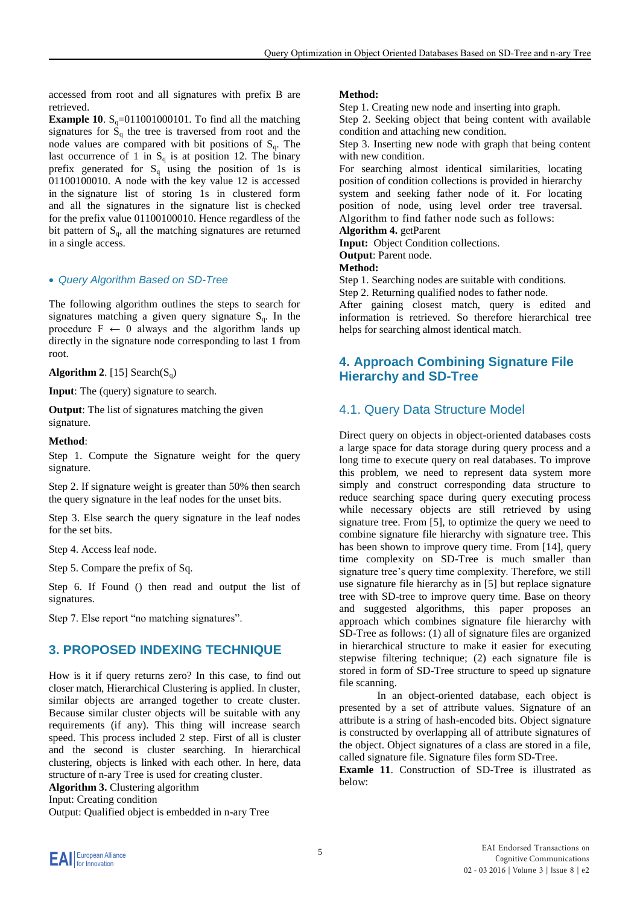accessed from root and all signatures with prefix B are retrieved.

**Example 10**.  $S_q = 011001000101$ . To find all the matching signatures for  $S_q$  the tree is traversed from root and the node values are compared with bit positions of  $S_q$ . The last occurrence of 1 in  $S_q$  is at position 12. The binary prefix generated for  $S_q$  using the position of 1s is 01100100010. A node with the key value 12 is accessed in the signature list of storing 1s in clustered form and all the signatures in the signature list is checked for the prefix value 01100100010. Hence regardless of the bit pattern of  $S_q$ , all the matching signatures are returned in a single access.

#### *Query Algorithm Based on SD-Tree*

The following algorithm outlines the steps to search for signatures matching a given query signature  $S<sub>a</sub>$ . In the procedure  $F \leftarrow 0$  always and the algorithm lands up directly in the signature node corresponding to last 1 from root.

**Algorithm 2.** [15] Search( $S_q$ )

**Input**: The (query) signature to search.

**Output**: The list of signatures matching the given signature.

#### **Method**:

Step 1. Compute the Signature weight for the query signature.

Step 2. If signature weight is greater than 50% then search the query signature in the leaf nodes for the unset bits.

Step 3. Else search the query signature in the leaf nodes for the set bits.

Step 4. Access leaf node.

Step 5. Compare the prefix of Sq.

Step 6. If Found () then read and output the list of signatures.

Step 7. Else report "no matching signatures".

## **3. PROPOSED INDEXING TECHNIQUE**

How is it if query returns zero? In this case, to find out closer match, Hierarchical Clustering is applied. In cluster, similar objects are arranged together to create cluster. Because similar cluster objects will be suitable with any requirements (if any). This thing will increase search speed. This process included 2 step. First of all is cluster and the second is cluster searching. In hierarchical clustering, objects is linked with each other. In here, data structure of n-ary Tree is used for creating cluster. **Algorithm 3.** Clustering algorithm

Input: Creating condition

Output: Qualified object is embedded in n-ary Tree

#### **Method:**

Step 1. Creating new node and inserting into graph.

Step 2. Seeking object that being content with available condition and attaching new condition.

Step 3. Inserting new node with graph that being content with new condition.

For searching almost identical similarities, locating position of condition collections is provided in hierarchy system and seeking father node of it. For locating position of node, using level order tree traversal. Algorithm to find father node such as follows: **Algorithm 4.** getParent

**Input:** Object Condition collections.

**Output**: Parent node.

**Method:** 

Step 1. Searching nodes are suitable with conditions.

Step 2. Returning qualified nodes to father node.

After gaining closest match, query is edited and information is retrieved. So therefore hierarchical tree helps for searching almost identical match.

## **4. Approach Combining Signature File Hierarchy and SD-Tree**

## 4.1. Query Data Structure Model

Direct query on objects in object-oriented databases costs a large space for data storage during query process and a long time to execute query on real databases. To improve this problem, we need to represent data system more simply and construct corresponding data structure to reduce searching space during query executing process while necessary objects are still retrieved by using signature tree. From [5], to optimize the query we need to combine signature file hierarchy with signature tree. This has been shown to improve query time. From [14], query time complexity on SD-Tree is much smaller than signature tree's query time complexity. Therefore, we still use signature file hierarchy as in [5] but replace signature tree with SD-tree to improve query time. Base on theory and suggested algorithms, this paper proposes an approach which combines signature file hierarchy with SD-Tree as follows: (1) all of signature files are organized in hierarchical structure to make it easier for executing stepwise filtering technique; (2) each signature file is stored in form of SD-Tree structure to speed up signature file scanning.

In an object-oriented database, each object is presented by a set of attribute values. Signature of an attribute is a string of hash-encoded bits. Object signature is constructed by overlapping all of attribute signatures of the object. Object signatures of a class are stored in a file, called signature file. Signature files form SD-Tree.

**Examle 11**. Construction of SD-Tree is illustrated as below: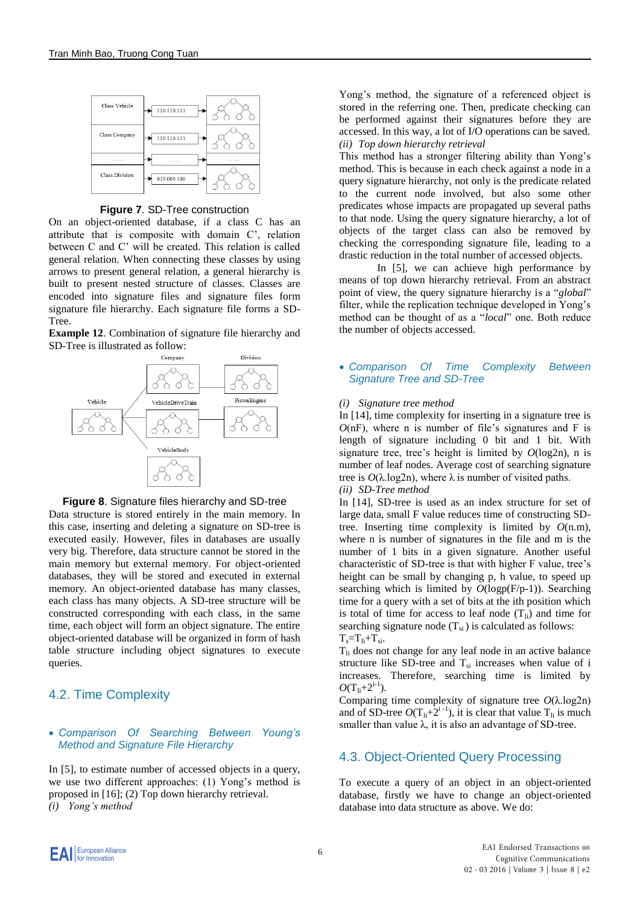

**Figure 7**. SD-Tree construction

On an object-oriented database, if a class C has an attribute that is composite with domain C', relation between C and C' will be created. This relation is called general relation. When connecting these classes by using arrows to present general relation, a general hierarchy is built to present nested structure of classes. Classes are encoded into signature files and signature files form signature file hierarchy. Each signature file forms a SD-Tree.

**Example 12**. Combination of signature file hierarchy and SD-Tree is illustrated as follow:





Data structure is stored entirely in the main memory. In this case, inserting and deleting a signature on SD-tree is executed easily. However, files in databases are usually very big. Therefore, data structure cannot be stored in the main memory but external memory. For object-oriented databases, they will be stored and executed in external memory. An object-oriented database has many classes, each class has many objects. A SD-tree structure will be constructed corresponding with each class, in the same time, each object will form an object signature. The entire object-oriented database will be organized in form of hash table structure including object signatures to execute queries.

# 4.2. Time Complexity

#### *Comparison Of Searching Between Young's Method and Signature File Hierarchy*

In [5], to estimate number of accessed objects in a query, we use two different approaches: (1) Yong's method is proposed in [16]; (2) Top down hierarchy retrieval. *(i) Yong's method*

Yong's method, the signature of a referenced object is stored in the referring one. Then, predicate checking can be performed against their signatures before they are accessed. In this way, a lot of I/O operations can be saved. *(ii) Top down hierarchy retrieval* 

This method has a stronger filtering ability than Yong's method. This is because in each check against a node in a query signature hierarchy, not only is the predicate related to the current node involved, but also some other predicates whose impacts are propagated up several paths to that node. Using the query signature hierarchy, a lot of objects of the target class can also be removed by checking the corresponding signature file, leading to a drastic reduction in the total number of accessed objects.

In [5], we can achieve high performance by means of top down hierarchy retrieval. From an abstract point of view, the query signature hierarchy is a "*global*" filter, while the replication technique developed in Yong's method can be thought of as a "*local*" one. Both reduce the number of objects accessed.

#### *Comparison Of Time Complexity Between Signature Tree and SD-Tree*

#### *(i) Signature tree method*

In [14], time complexity for inserting in a signature tree is  $O(nF)$ , where n is number of file's signatures and F is length of signature including 0 bit and 1 bit. With signature tree, tree's height is limited by *O*(log2n), n is number of leaf nodes. Average cost of searching signature tree is  $O(\lambda \log 2n)$ , where  $\lambda$  is number of visited paths. *(ii) SD-Tree method* 

In [14], SD-tree is used as an index structure for set of large data, small F value reduces time of constructing SDtree. Inserting time complexity is limited by  $O(n,m)$ , where n is number of signatures in the file and m is the number of 1 bits in a given signature. Another useful characteristic of SD-tree is that with higher F value, tree's height can be small by changing p, h value, to speed up searching which is limited by *O*(logp(F/p-1)). Searching time for a query with a set of bits at the ith position which is total of time for access to leaf node  $(T_{li})$  and time for searching signature node  $(T_{si})$  is calculated as follows:  $T_s = T_{li} + T_{si}.$ 

 $T<sub>li</sub>$  does not change for any leaf node in an active balance structure like SD-tree and  $T_{si}$  increases when value of i increases. Therefore, searching time is limited by  $O(T_{\rm li}+2^{\rm i-1}).$ 

Comparing time complexity of signature tree *O*(λ.log2n) and of SD-tree  $O(T_{li}+2^{i-l})$ , it is clear that value  $T_{li}$  is much smaller than value  $\lambda$ , it is also an advantage of SD-tree.

# 4.3. Object-Oriented Query Processing

To execute a query of an object in an object-oriented database, firstly we have to change an object-oriented database into data structure as above. We do: